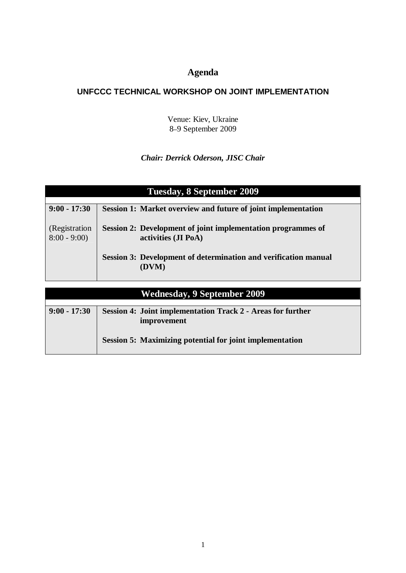# **Agenda**

## **UNFCCC TECHNICAL WORKSHOP ON JOINT IMPLEMENTATION**

Venue: Kiev, Ukraine 8–9 September 2009

## *Chair: Derrick Oderson, JISC Chair*

| Tuesday, 8 September 2009          |                                                                 |
|------------------------------------|-----------------------------------------------------------------|
|                                    |                                                                 |
| $9:00 - 17:30$                     | Session 1: Market overview and future of joint implementation   |
|                                    |                                                                 |
| (Registration)                     | Session 2: Development of joint implementation programmes of    |
| $8:00 - 9:00$                      | activities (JI PoA)                                             |
|                                    |                                                                 |
|                                    | Session 3: Development of determination and verification manual |
|                                    | (DVM)                                                           |
|                                    |                                                                 |
|                                    |                                                                 |
| <b>Wednesday, 9 September 2009</b> |                                                                 |
|                                    |                                                                 |
| $9:00 - 17:30$                     | Session 4: Joint implementation Track 2 - Areas for further     |
|                                    | improvement                                                     |

**Session 5: Maximizing potential for joint implementation**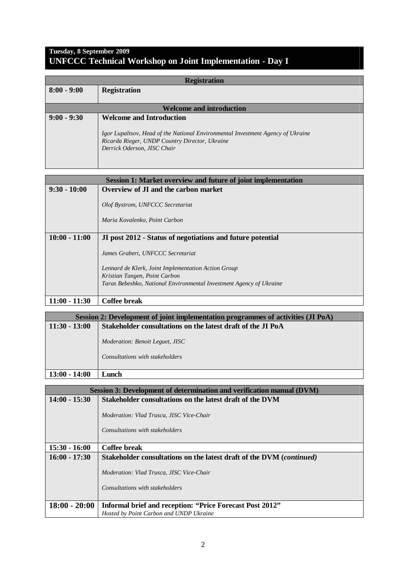#### **Tuesday, 8 September 2009 UNFCCC Technical Workshop on Joint Implementation - Day I**

| <b>Registration</b>             |                                                                                 |
|---------------------------------|---------------------------------------------------------------------------------|
| $8:00 - 9:00$                   | <b>Registration</b>                                                             |
|                                 |                                                                                 |
| <b>Welcome and introduction</b> |                                                                                 |
| $9:00 - 9:30$                   | <b>Welcome and Introduction</b>                                                 |
|                                 | Igor Lupaltsov, Head of the National Environmental Investment Agency of Ukraine |
|                                 | Ricarda Rieger, UNDP Country Director, Ukraine                                  |
|                                 | Derrick Oderson, JISC Chair                                                     |
|                                 |                                                                                 |
|                                 |                                                                                 |

| <b>Session 1: Market overview and future of joint implementation</b> |                                                                                                                                                                                                  |
|----------------------------------------------------------------------|--------------------------------------------------------------------------------------------------------------------------------------------------------------------------------------------------|
| $9:30 - 10:00$                                                       | Overview of JI and the carbon market                                                                                                                                                             |
|                                                                      | Olof Bystrom, UNFCCC Secretariat<br>Maria Kovalenko, Point Carbon                                                                                                                                |
| $10:00 - 11:00$                                                      | JI post 2012 - Status of negotiations and future potential                                                                                                                                       |
|                                                                      | James Grabert, UNFCCC Secretariat<br>Lennard de Klerk, Joint Implementation Action Group<br>Kristian Tangen, Point Carbon<br>Taras Bebeshko, National Environmental Investment Agency of Ukraine |
| $11:00 - 11:30$                                                      | Coffee break                                                                                                                                                                                     |

| Session 2: Development of joint implementation programmes of activities (JI PoA) |                                                                           |
|----------------------------------------------------------------------------------|---------------------------------------------------------------------------|
| $11:30 - 13:00$                                                                  | Stakeholder consultations on the latest draft of the JI PoA               |
|                                                                                  | <i>Moderation: Benoit Leguet, JISC</i><br>Consultations with stakeholders |
| $13:00 - 14:00$                                                                  | amch                                                                      |

| Session 3: Development of determination and verification manual (DVM) |                                                                                    |
|-----------------------------------------------------------------------|------------------------------------------------------------------------------------|
| $14:00 - 15:30$                                                       | Stakeholder consultations on the latest draft of the DVM                           |
|                                                                       | <i>Moderation: Vlad Trusca, JISC Vice-Chair</i><br>Consultations with stakeholders |
| $15:30 - 16:00$                                                       | Coffee break                                                                       |
| $16:00 - 17:30$                                                       | Stakeholder consultations on the latest draft of the DVM (continued)               |
|                                                                       | <i>Moderation: Vlad Trusca, JISC Vice-Chair</i><br>Consultations with stakeholders |
| $18:00 - 20:00$                                                       | Informal brief and reception: "Price Forecast Post 2012"                           |
|                                                                       | Hosted by Point Carbon and UNDP Ukraine                                            |